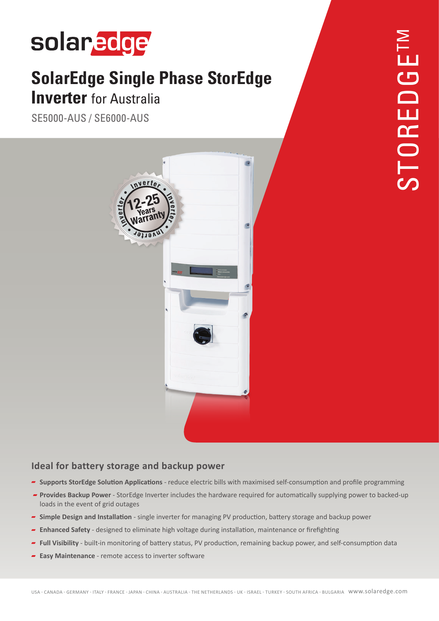# solaredge

## **SolarEdge Single Phase StorEdge Inverter** for Australia

SE5000-AUS / SE6000-AUS



#### **Ideal for battery storage and backup power**

- **P** Supports StorEdge Solution Applications reduce electric bills with maximised self-consumption and profile programming
- **Provides Backup Power** StorEdge Inverter includes the hardware required for automatically supplying power to backed-up loads in the event of grid outages
- **Power band storage and installation** single inverter for managing PV production, battery storage and backup power
- **Firm 5** Firefighting or maintenance or maintenance or firefighting  $\blacksquare$  Enhance or firefighting
- Full Visibility built-in monitoring of battery status, PV production, remaining backup power, and self-consumption data
- **Easy Maintenance** remote access to inverter software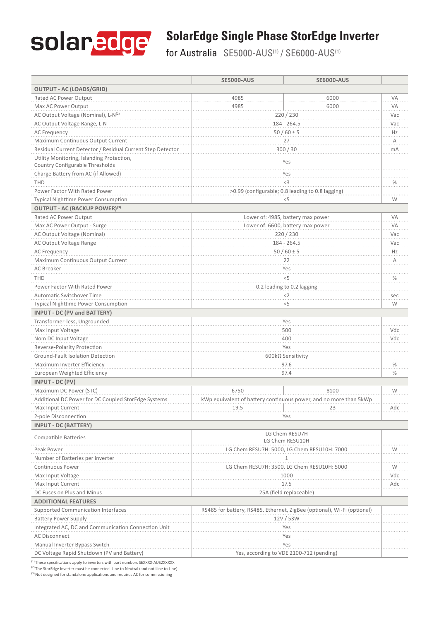

### **SolarEdge Single Phase StorEdge Inverter**

for Australia SE5000-AUS<sup>(1)</sup> / SE6000-AUS<sup>(1)</sup>

|                                                                              | <b>SE5000-AUS</b>                                                       | <b>SE6000-AUS</b> |           |
|------------------------------------------------------------------------------|-------------------------------------------------------------------------|-------------------|-----------|
| <b>OUTPUT - AC (LOADS/GRID)</b>                                              |                                                                         |                   |           |
| Rated AC Power Output                                                        | 4985                                                                    | 6000              | VA        |
| Max AC Power Output                                                          | 4985                                                                    | 6000              | VA        |
| AC Output Voltage (Nominal), L-N(2)                                          | 220/230                                                                 |                   | Vac       |
| AC Output Voltage Range, L-N                                                 | 184 - 264.5                                                             |                   | Vac       |
| <b>AC Frequency</b>                                                          | $50/60 \pm 5$                                                           |                   | Hz        |
| Maximum Continuous Output Current                                            | 27                                                                      |                   | Α         |
| Residual Current Detector / Residual Current Step Detector                   | 300/30                                                                  |                   | mA        |
| Utility Monitoring, Islanding Protection,<br>Country Configurable Thresholds | Yes                                                                     |                   |           |
| Charge Battery from AC (if Allowed)                                          | Yes                                                                     |                   |           |
| <b>THD</b>                                                                   | <3                                                                      |                   | $\%$      |
| Power Factor With Rated Power                                                | >0.99 (configurable; 0.8 leading to 0.8 lagging)                        |                   |           |
| <b>Typical Nighttime Power Consumption</b>                                   | $<$ 5                                                                   |                   | W         |
| OUTPUT - AC (BACKUP POWER) <sup>(3)</sup>                                    |                                                                         |                   |           |
| Rated AC Power Output                                                        | Lower of: 4985, battery max power                                       |                   | VA        |
| Max AC Power Output - Surge                                                  | Lower of: 6600, battery max power                                       |                   | VA        |
| AC Output Voltage (Nominal)                                                  | 220 / 230                                                               |                   | Vac       |
| AC Output Voltage Range                                                      | 184 - 264.5                                                             |                   | Vac<br>Hz |
| AC Frequency                                                                 |                                                                         | $50/60 \pm 5$     |           |
| Maximum Continuous Output Current                                            | 22                                                                      |                   | Α         |
| AC Breaker                                                                   | Yes                                                                     |                   |           |
| <b>THD</b>                                                                   | < 5                                                                     |                   | $\%$      |
| Power Factor With Rated Power                                                | 0.2 leading to 0.2 lagging                                              |                   |           |
| Automatic Switchover Time                                                    | $<$ 2                                                                   |                   | sec       |
| <b>Typical Nighttime Power Consumption</b>                                   | $<$ 5                                                                   |                   | W         |
| <b>INPUT - DC (PV and BATTERY)</b>                                           |                                                                         |                   |           |
| Transformer-less, Ungrounded                                                 | Yes                                                                     |                   |           |
| Max Input Voltage                                                            | 500                                                                     |                   | Vdc       |
| Nom DC Input Voltage                                                         | 400                                                                     |                   | Vdc       |
| Reverse-Polarity Protection                                                  | Yes                                                                     |                   |           |
| Ground-Fault Isolation Detection                                             | 600kΩ Sensitivity                                                       |                   |           |
| Maximum Inverter Efficiency                                                  | 97.6                                                                    |                   | $\%$      |
| European Weighted Efficiency                                                 | 97.4                                                                    |                   | $\%$      |
| INPUT - DC (PV)                                                              |                                                                         |                   |           |
| Maximum DC Power (STC)                                                       | 6750                                                                    | 8100              | W         |
| Additional DC Power for DC Coupled StorEdge Systems                          | kWp equivalent of battery continuous power, and no more than 5kWp       |                   |           |
| Max Input Current                                                            | 19.5                                                                    | 23                | Adc       |
| 2-pole Disconnection                                                         | Yes                                                                     |                   |           |
| <b>INPUT - DC (BATTERY)</b>                                                  |                                                                         |                   |           |
| <b>Compatible Batteries</b>                                                  | LG Chem RESU7H<br>LG Chem RESU10H                                       |                   |           |
| Peak Power                                                                   | LG Chem RESU7H: 5000, LG Chem RESU10H: 7000                             |                   | W         |
| Number of Batteries per inverter                                             |                                                                         |                   |           |
| Continuous Power                                                             | LG Chem RESU7H: 3500, LG Chem RESU10H: 5000                             |                   | W         |
| Max Input Voltage                                                            | 1000                                                                    |                   | Vdc       |
| Max Input Current                                                            | 17.5                                                                    |                   | Adc       |
| DC Fuses on Plus and Minus                                                   | 25A (field replaceable)                                                 |                   |           |
| <b>ADDITIONAL FEATURES</b>                                                   |                                                                         |                   |           |
| Supported Communication Interfaces                                           | RS485 for battery, RS485, Ethernet, ZigBee (optional), Wi-Fi (optional) |                   |           |
| <b>Battery Power Supply</b>                                                  | 12V/53W                                                                 |                   |           |
| Integrated AC, DC and Communication Connection Unit                          | Yes                                                                     |                   |           |
| <b>AC Disconnect</b>                                                         | Yes                                                                     |                   |           |
| Manual Inverter Bypass Switch                                                | Yes                                                                     |                   |           |
| DC Voltage Rapid Shutdown (PV and Battery)                                   | Yes, according to VDE 2100-712 (pending)                                |                   |           |
|                                                                              |                                                                         |                   |           |

 $<sup>(1)</sup>$  These specifications apply to inverters with part numbers SEXXXX-AUS2XXXXX</sup>

(2) The StorEdge Inverter must be connected Line to Neutral (and not Line to Line)  $\frac{c^{(3)}}{2}$  Not designed for standalone applications and requires AC for commissioning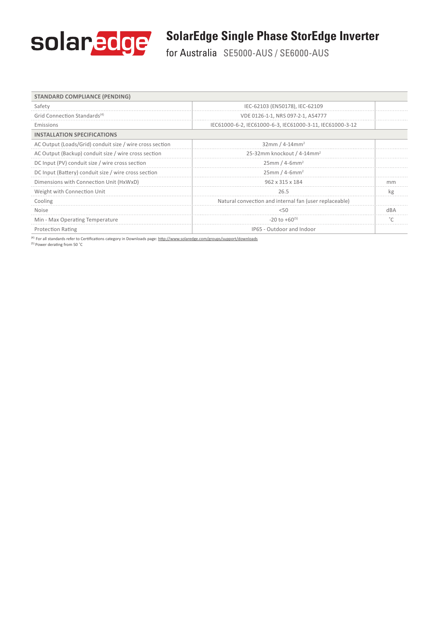

### **SolarEdge Single Phase StorEdge Inverter**

for Australia SE5000-AUS / SE6000-AUS

| <b>STANDARD COMPLIANCE (PENDING)</b>                     |                                                          |           |
|----------------------------------------------------------|----------------------------------------------------------|-----------|
| Safety                                                   | IEC-62103 (EN50178), IEC-62109                           |           |
| Grid Connection Standards <sup>(4)</sup>                 | VDE 0126-1-1, NRS 097-2-1, AS4777                        |           |
| Emissions                                                | IEC61000-6-2, IEC61000-6-3, IEC61000-3-11, IEC61000-3-12 |           |
| <b>INSTALLATION SPECIFICATIONS</b>                       |                                                          |           |
| AC Output (Loads/Grid) conduit size / wire cross section | 32mm / 4-14mm <sup>2</sup>                               |           |
| AC Output (Backup) conduit size / wire cross section     | 25-32mm knockout / 4-14mm <sup>2</sup>                   |           |
| DC Input (PV) conduit size / wire cross section          | $25mm/4-6mm2$                                            |           |
| DC Input (Battery) conduit size / wire cross section     | $25mm/4-6mm2$                                            |           |
| Dimensions with Connection Unit (HxWxD)                  | 962 x 315 x 184                                          | mm        |
| Weight with Connection Unit                              | 26.5                                                     | kg        |
| Cooling                                                  | Natural convection and internal fan (user replaceable)   |           |
| <b>Noise</b>                                             | 5(1)                                                     | dBA       |
| Min - Max Operating Temperature                          | $-20$ to $+60^{(5)}$                                     | $\degree$ |
| <b>Protection Rating</b>                                 | IP65 - Outdoor and Indoor                                |           |

<sup>(4)</sup> For all standards refer to Certifications category in Downloads page: http://www.solaredge.com/groups/support/downloads <sup>(5)</sup> Power derating from 50 °C